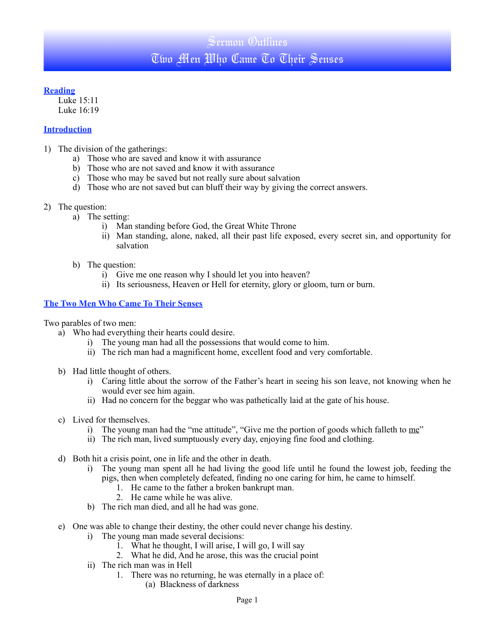## **Reading**

Luke 15:11 Luke 16:19

# **Introduction**

- 1) The division of the gatherings:
	- a) Those who are saved and know it with assurance
	- b) Those who are not saved and know it with assurance
	- c) Those who may be saved but not really sure about salvation
	- d) Those who are not saved but can bluff their way by giving the correct answers.
- 2) The question:
	- a) The setting:
		- i) Man standing before God, the Great White Throne
		- ii) Man standing, alone, naked, all their past life exposed, every secret sin, and opportunity for salvation
	- b) The question:
		- i) Give me one reason why I should let you into heaven?
		- ii) Its seriousness, Heaven or Hell for eternity, glory or gloom, turn or burn.

## **The Two Men Who Came To Their Senses**

Two parables of two men:

- a) Who had everything their hearts could desire.
	- i) The young man had all the possessions that would come to him.
	- ii) The rich man had a magnificent home, excellent food and very comfortable.
- b) Had little thought of others.
	- i) Caring little about the sorrow of the Father's heart in seeing his son leave, not knowing when he would ever see him again.
	- ii) Had no concern for the beggar who was pathetically laid at the gate of his house.
- c) Lived for themselves.
	- i) The young man had the "me attitude", "Give me the portion of goods which falleth to  $me$ "
	- ii) The rich man, lived sumptuously every day, enjoying fine food and clothing.
- d) Both hit a crisis point, one in life and the other in death.
	- i) The young man spent all he had living the good life until he found the lowest job, feeding the pigs, then when completely defeated, finding no one caring for him, he came to himself.
		- 1. He came to the father a broken bankrupt man.
		- 2. He came while he was alive.
	- b) The rich man died, and all he had was gone.
- e) One was able to change their destiny, the other could never change his destiny.
	- i) The young man made several decisions:
		- 1. What he thought, I will arise, I will go, I will say
		- 2. What he did, And he arose, this was the crucial point
	- ii) The rich man was in Hell
		- 1. There was no returning, he was eternally in a place of:
			- (a) Blackness of darkness